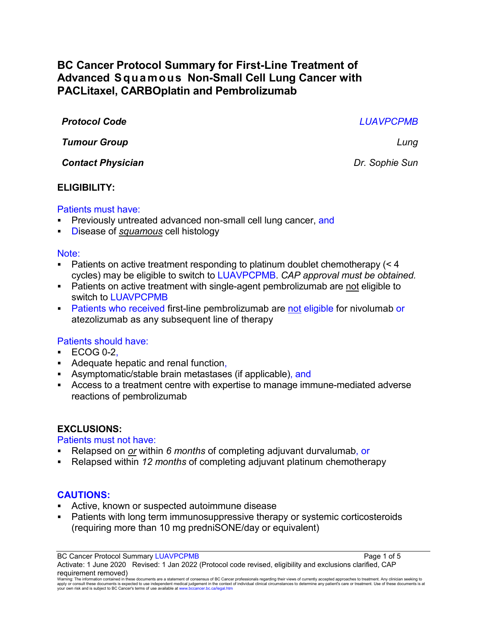# **BC Cancer Protocol Summary for First-Line Treatment of Advanced Squamous Non-Small Cell Lung Cancer with PACLitaxel, CARBOplatin and Pembrolizumab**

*Protocol Code LUAVPCPMB*

*Tumour Group Lung*

*Contact Physician Dr. Sophie Sun*

# **ELIGIBILITY:**

# Patients must have:

- Previously untreated advanced non-small cell lung cancer, and
- Disease of *squamous* cell histology

### Note:

- Patients on active treatment responding to platinum doublet chemotherapy  $(< 4$ cycles) may be eligible to switch to LUAVPCPMB. *CAP approval must be obtained.*
- Patients on active treatment with single-agent pembrolizumab are not eligible to switch to LUAVPCPMB
- **Patients who received first-line pembrolizumab are not eligible for nivolumab or** atezolizumab as any subsequent line of therapy

# Patients should have:

- **ECOG 0-2.**
- Adequate hepatic and renal function,
- Asymptomatic/stable brain metastases (if applicable), and
- Access to a treatment centre with expertise to manage immune-mediated adverse reactions of pembrolizumab

# **EXCLUSIONS:**

# Patients must not have:

- Relapsed on *or* within *6 months* of completing adjuvant durvalumab, or
- Relapsed within *12 months* of completing adjuvant platinum chemotherapy

# **CAUTIONS:**

- Active, known or suspected autoimmune disease
- Patients with long term immunosuppressive therapy or systemic corticosteroids (requiring more than 10 mg predniSONE/day or equivalent)

BC Cancer Protocol Summary LUAVPCPMB **Page 1 of 5** and 2011 1 and 2012 1 and 2012 1 and 2012 1 and 2012 1 and 201

Activate: 1 June 2020 Revised: 1 Jan 2022 (Protocol code revised, eligibility and exclusions clarified, CAP requirement removed)

Warning: The information contained in these documents are a statement of consensus of BC Cancer professionals regarding their views of currently accepted approaches to treatment. Any clinician seeking to<br>apply or consult t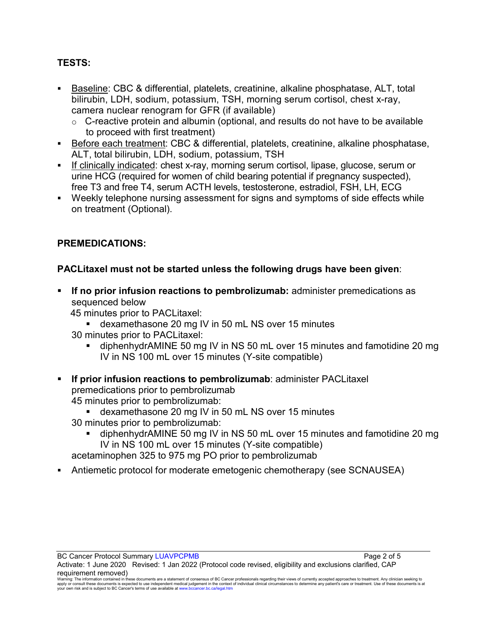# **TESTS:**

- Baseline: CBC & differential, platelets, creatinine, alkaline phosphatase, ALT, total bilirubin, LDH, sodium, potassium, TSH, morning serum cortisol, chest x-ray, camera nuclear renogram for GFR (if available)
	- $\circ$  C-reactive protein and albumin (optional, and results do not have to be available to proceed with first treatment)
- Before each treatment: CBC & differential, platelets, creatinine, alkaline phosphatase, ALT, total bilirubin, LDH, sodium, potassium, TSH
- If clinically indicated: chest x-ray, morning serum cortisol, lipase, glucose, serum or urine HCG (required for women of child bearing potential if pregnancy suspected), free T3 and free T4, serum ACTH levels, testosterone, estradiol, FSH, LH, ECG
- Weekly telephone nursing assessment for signs and symptoms of side effects while on treatment (Optional).

# **PREMEDICATIONS:**

# **PACLitaxel must not be started unless the following drugs have been given**:

- **If no prior infusion reactions to pembrolizumab:** administer premedications as sequenced below
	- 45 minutes prior to PACLitaxel:
		- dexamethasone 20 mg IV in 50 mL NS over 15 minutes
	- 30 minutes prior to PACLitaxel:
		- diphenhydrAMINE 50 mg IV in NS 50 mL over 15 minutes and famotidine 20 mg IV in NS 100 mL over 15 minutes (Y-site compatible)
- **If prior infusion reactions to pembrolizumab**: administer PACLitaxel premedications prior to pembrolizumab 45 minutes prior to pembrolizumab:
	- dexamethasone 20 mg IV in 50 mL NS over 15 minutes 30 minutes prior to pembrolizumab:
		- diphenhydrAMINE 50 mg IV in NS 50 mL over 15 minutes and famotidine 20 mg IV in NS 100 mL over 15 minutes (Y-site compatible)
	- acetaminophen 325 to 975 mg PO prior to pembrolizumab
- Antiemetic protocol for moderate emetogenic chemotherapy (see SCNAUSEA)

Warning: The information contained in these documents are a statement of consensus of BC Cancer professionals regarding their views of currently accepted approaches to treatment. Any clinician seeking to<br>apply or consult t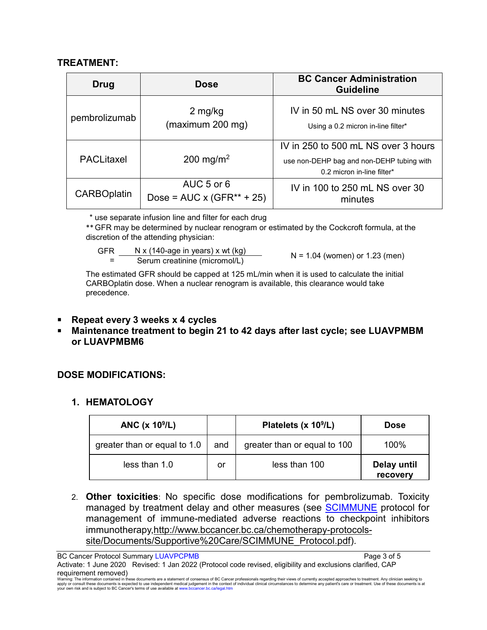### **TREATMENT:**

| Drug               | <b>Dose</b>                                       | <b>BC Cancer Administration</b><br><b>Guideline</b>                                                            |
|--------------------|---------------------------------------------------|----------------------------------------------------------------------------------------------------------------|
| pembrolizumab      | 2 mg/kg<br>(maximum 200 mg)                       | IV in 50 mL NS over 30 minutes<br>Using a 0.2 micron in-line filter*                                           |
| <b>PACLitaxel</b>  | 200 mg/m <sup>2</sup>                             | IV in 250 to 500 mL NS over 3 hours<br>use non-DEHP bag and non-DEHP tubing with<br>0.2 micron in-line filter* |
| <b>CARBOplatin</b> | AUC 5 or 6<br>Dose = $AUC \times (GFR^{**} + 25)$ | IV in 100 to 250 mL NS over 30<br>minutes                                                                      |

\* use separate infusion line and filter for each drug

\*\*GFR may be determined by nuclear renogram or estimated by the Cockcroft formula, at the discretion of the attending physician:

GFR

=

 $N \times (140 \text{-age in years}) \times wt (kg)$ <br>Serum creatinine (micromol/L)  $N = 1.04$  (women) or 1.23 (men)

The estimated GFR should be capped at 125 mL/min when it is used to calculate the initial CARBOplatin dose. When a nuclear renogram is available, this clearance would take precedence.

- **Repeat every 3 weeks x 4 cycles**
- **Maintenance treatment to begin 21 to 42 days after last cycle; see LUAVPMBM or LUAVPMBM6**

# **DOSE MODIFICATIONS:**

### **1. HEMATOLOGY**

| ANC $(x 10^9/L)$             |     | Platelets (x 10 <sup>9</sup> /L) | <b>Dose</b>             |
|------------------------------|-----|----------------------------------|-------------------------|
| greater than or equal to 1.0 | and | greater than or equal to 100     | 100%                    |
| less than 1.0                | or  | less than 100                    | Delay until<br>recovery |

2. **Other toxicities**: No specific dose modifications for pembrolizumab. Toxicity managed by treatment delay and other measures (see [SCIMMUNE](http://www.bccancer.bc.ca/chemotherapy-protocols-site/Documents/Supportive%20Care/SCIMMUNE_Protocol.pdf) protocol for management of immune-mediated adverse reactions to checkpoint inhibitors immunotherapy[,http://www.bccancer.bc.ca/chemotherapy-protocols](http://www.bccancer.bc.ca/chemotherapy-protocols-site/Documents/Supportive%20Care/SCIMMUNE_Protocol.pdf)[site/Documents/Supportive%20Care/SCIMMUNE\\_Protocol.pdf\)](http://www.bccancer.bc.ca/chemotherapy-protocols-site/Documents/Supportive%20Care/SCIMMUNE_Protocol.pdf).

BC Cancer Protocol Summary LUAVPCPMB **Page 3 of 5** and 2 of 5

Activate: 1 June 2020 Revised: 1 Jan 2022 (Protocol code revised, eligibility and exclusions clarified, CAP requirement removed)

Warning: The information contained in these documents are a statement of consensus of BC Cancer professionals regarding their views of currently accepted approaches to treatment. Any clinician seeking to<br>apply or consult t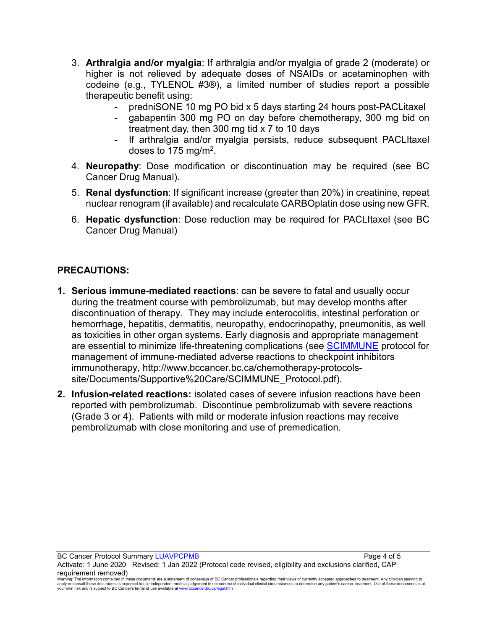- 3. **Arthralgia and/or myalgia**: If arthralgia and/or myalgia of grade 2 (moderate) or higher is not relieved by adequate doses of NSAIDs or acetaminophen with codeine (e.g., TYLENOL #3®), a limited number of studies report a possible therapeutic benefit using:
	- predniSONE 10 mg PO bid x 5 days starting 24 hours post-PACLitaxel
	- gabapentin 300 mg PO on day before chemotherapy, 300 mg bid on treatment day, then 300 mg tid x 7 to 10 days
	- If arthralgia and/or myalgia persists, reduce subsequent PACLItaxel doses to 175 mg/m2.
- 4. **Neuropathy**: Dose modification or discontinuation may be required (see BC Cancer Drug Manual).
- 5. **Renal dysfunction**: If significant increase (greater than 20%) in creatinine, repeat nuclear renogram (if available) and recalculate CARBOplatin dose using new GFR.
- 6. **Hepatic dysfunction**: Dose reduction may be required for PACLItaxel (see BC Cancer Drug Manual)

### **PRECAUTIONS:**

- **1. Serious immune-mediated reactions**: can be severe to fatal and usually occur during the treatment course with pembrolizumab, but may develop months after discontinuation of therapy. They may include enterocolitis, intestinal perforation or hemorrhage, hepatitis, dermatitis, neuropathy, endocrinopathy, pneumonitis, as well as toxicities in other organ systems. Early diagnosis and appropriate management are essential to minimize life-threatening complications (see [SCIMMUNE](http://www.bccancer.bc.ca/chemotherapy-protocols-site/Documents/Supportive%20Care/SCIMMUNE_Protocol.pdf) protocol for management of immune-mediated adverse reactions to checkpoint inhibitors immunotherapy, http://www.bccancer.bc.ca/chemotherapy-protocolssite/Documents/Supportive%20Care/SCIMMUNE\_Protocol.pdf).
- **2. Infusion-related reactions:** isolated cases of severe infusion reactions have been reported with pembrolizumab. Discontinue pembrolizumab with severe reactions (Grade 3 or 4). Patients with mild or moderate infusion reactions may receive pembrolizumab with close monitoring and use of premedication.

BC Cancer Protocol Summary LUAVPCPMB **Page 4 of 5** and 2011 11 and 2012 12:30 and 2012 12:30 and 2013

Activate: 1 June 2020 Revised: 1 Jan 2022 (Protocol code revised, eligibility and exclusions clarified, CAP requirement removed)

Warning: The information contained in these documents are a statement of consensus of BC Cancer professionals regarding their views of currently accepted approaches to treatment. Any clinician seeking to<br>apply or consult t